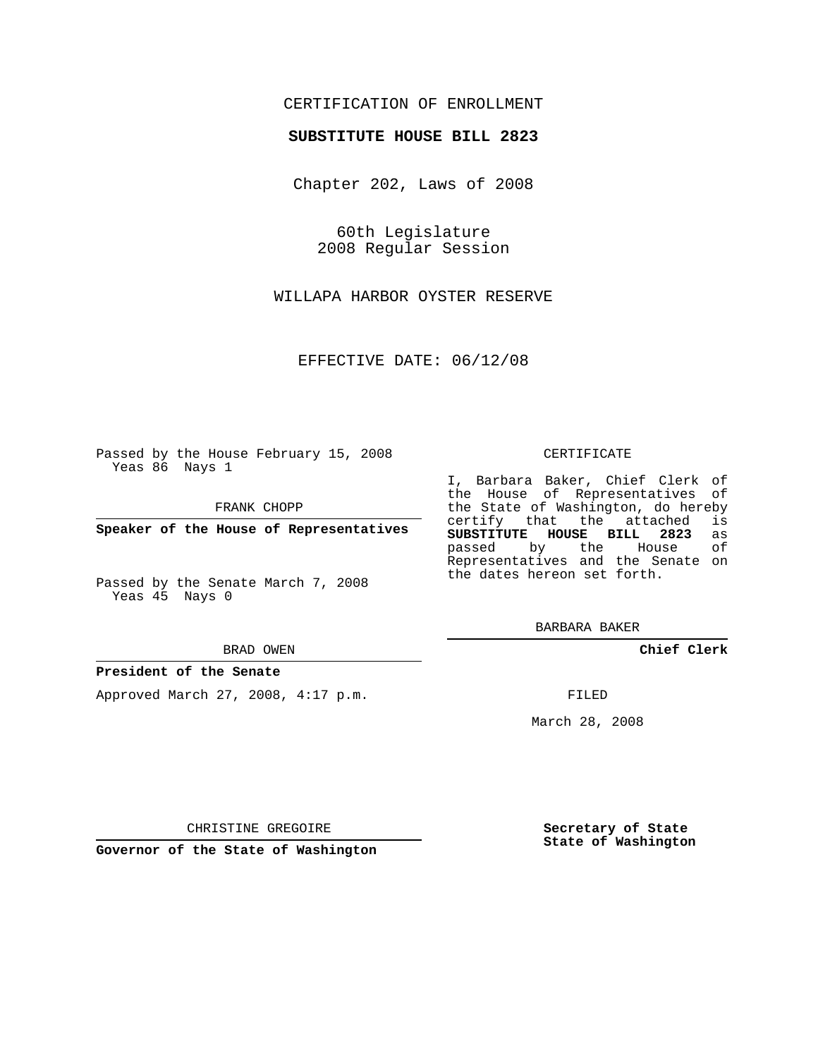# CERTIFICATION OF ENROLLMENT

## **SUBSTITUTE HOUSE BILL 2823**

Chapter 202, Laws of 2008

60th Legislature 2008 Regular Session

WILLAPA HARBOR OYSTER RESERVE

EFFECTIVE DATE: 06/12/08

Passed by the House February 15, 2008 Yeas 86 Nays 1

FRANK CHOPP

**Speaker of the House of Representatives**

Passed by the Senate March 7, 2008 Yeas 45 Nays 0

#### BRAD OWEN

### **President of the Senate**

Approved March 27, 2008, 4:17 p.m.

#### CERTIFICATE

I, Barbara Baker, Chief Clerk of the House of Representatives of the State of Washington, do hereby<br>certify that the attached is certify that the attached **SUBSTITUTE HOUSE BILL 2823** as passed by the House Representatives and the Senate on the dates hereon set forth.

BARBARA BAKER

**Chief Clerk**

FILED

March 28, 2008

CHRISTINE GREGOIRE

**Governor of the State of Washington**

**Secretary of State State of Washington**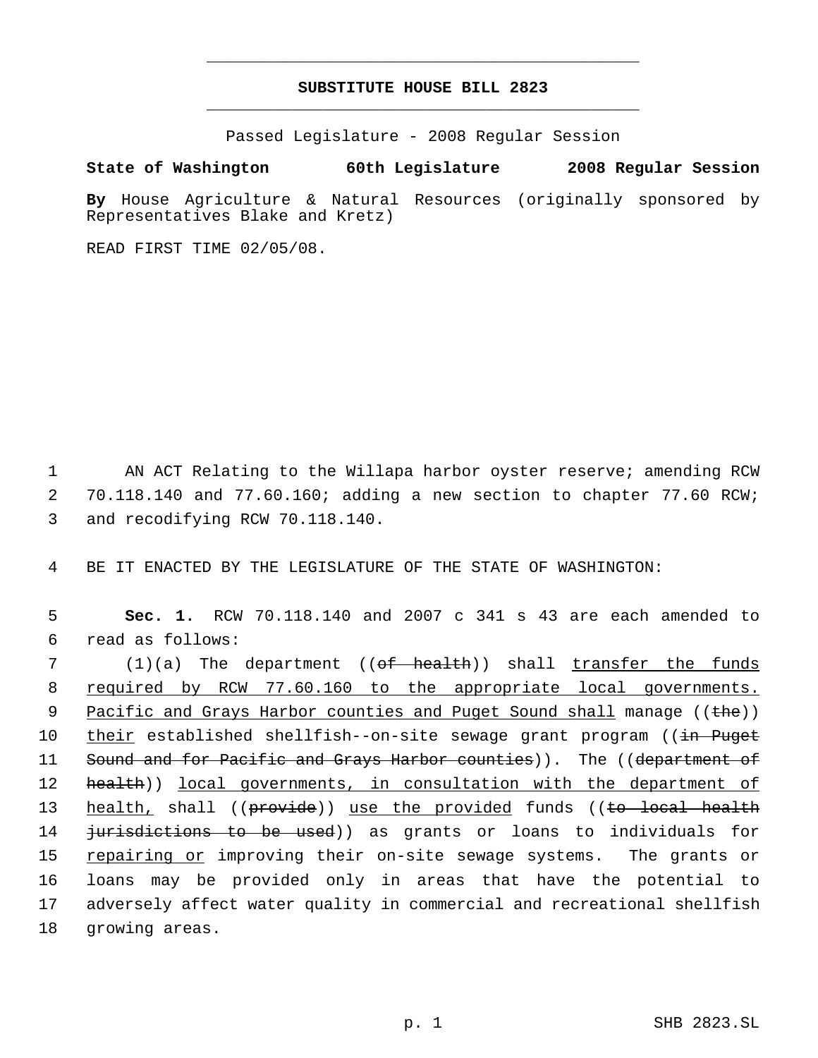# **SUBSTITUTE HOUSE BILL 2823** \_\_\_\_\_\_\_\_\_\_\_\_\_\_\_\_\_\_\_\_\_\_\_\_\_\_\_\_\_\_\_\_\_\_\_\_\_\_\_\_\_\_\_\_\_

\_\_\_\_\_\_\_\_\_\_\_\_\_\_\_\_\_\_\_\_\_\_\_\_\_\_\_\_\_\_\_\_\_\_\_\_\_\_\_\_\_\_\_\_\_

Passed Legislature - 2008 Regular Session

# **State of Washington 60th Legislature 2008 Regular Session**

**By** House Agriculture & Natural Resources (originally sponsored by Representatives Blake and Kretz)

READ FIRST TIME 02/05/08.

 1 AN ACT Relating to the Willapa harbor oyster reserve; amending RCW 2 70.118.140 and 77.60.160; adding a new section to chapter 77.60 RCW; 3 and recodifying RCW 70.118.140.

4 BE IT ENACTED BY THE LEGISLATURE OF THE STATE OF WASHINGTON:

 5 **Sec. 1.** RCW 70.118.140 and 2007 c 341 s 43 are each amended to 6 read as follows:

7 (1)(a) The department ((<del>of health</del>)) shall <u>transfer the funds</u> 8 required by RCW 77.60.160 to the appropriate local governments. 9 Pacific and Grays Harbor counties and Puget Sound shall manage ((the)) 10 their established shellfish--on-site sewage grant program ((in Puget 11 Sound and for Pacific and Grays Harbor counties)). The ((department of 12 **health**)) local governments, in consultation with the department of 13 health, shall ((provide)) use the provided funds ((to local health 14 <del>jurisdictions to be used</del>)) as grants or loans to individuals for 15 repairing or improving their on-site sewage systems. The grants or 16 loans may be provided only in areas that have the potential to 17 adversely affect water quality in commercial and recreational shellfish 18 growing areas.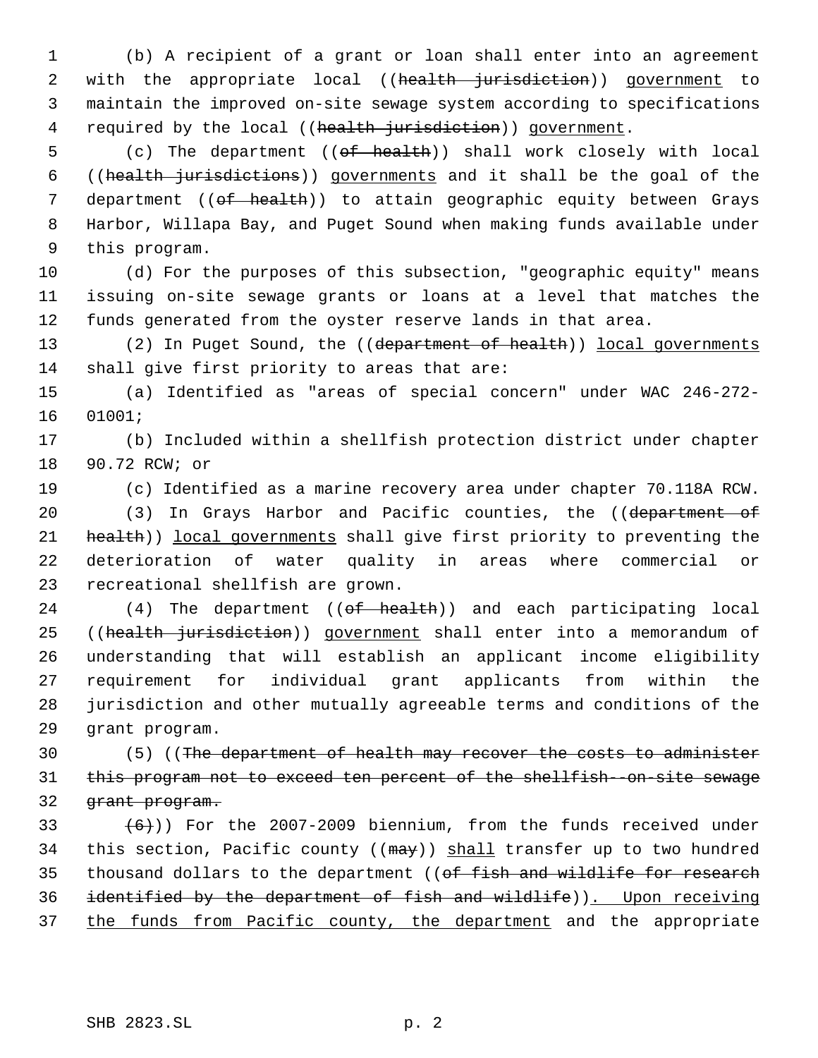1 (b) A recipient of a grant or loan shall enter into an agreement 2 with the appropriate local ((health jurisdiction)) government to 3 maintain the improved on-site sewage system according to specifications 4 required by the local ((health jurisdiction)) government.

5 (c) The department ((of health)) shall work closely with local 6 ((health jurisdictions)) governments and it shall be the goal of the 7 department ((of health)) to attain geographic equity between Grays 8 Harbor, Willapa Bay, and Puget Sound when making funds available under 9 this program.

10 (d) For the purposes of this subsection, "geographic equity" means 11 issuing on-site sewage grants or loans at a level that matches the 12 funds generated from the oyster reserve lands in that area.

13 (2) In Puget Sound, the ((department of health)) local governments 14 shall give first priority to areas that are:

15 (a) Identified as "areas of special concern" under WAC 246-272- 16 01001;

17 (b) Included within a shellfish protection district under chapter 18 90.72 RCW; or

19 (c) Identified as a marine recovery area under chapter 70.118A RCW. 20 (3) In Grays Harbor and Pacific counties, the ((department of

21 health)) local governments shall give first priority to preventing the 22 deterioration of water quality in areas where commercial or 23 recreational shellfish are grown.

24 (4) The department ((of health)) and each participating local 25 ((health jurisdiction)) government shall enter into a memorandum of understanding that will establish an applicant income eligibility requirement for individual grant applicants from within the jurisdiction and other mutually agreeable terms and conditions of the grant program.

30 (5) ((The department of health may recover the costs to administer 31 this program not to exceed ten percent of the shellfish -on-site sewage 32 <del>grant program.</del>

33  $(6)$ )) For the 2007-2009 biennium, from the funds received under 34 this section, Pacific county ( $(\text{max})$ ) shall transfer up to two hundred 35 thousand dollars to the department ((of fish and wildlife for research 36 identified by the department of fish and wildlife)). Upon receiving 37 the funds from Pacific county, the department and the appropriate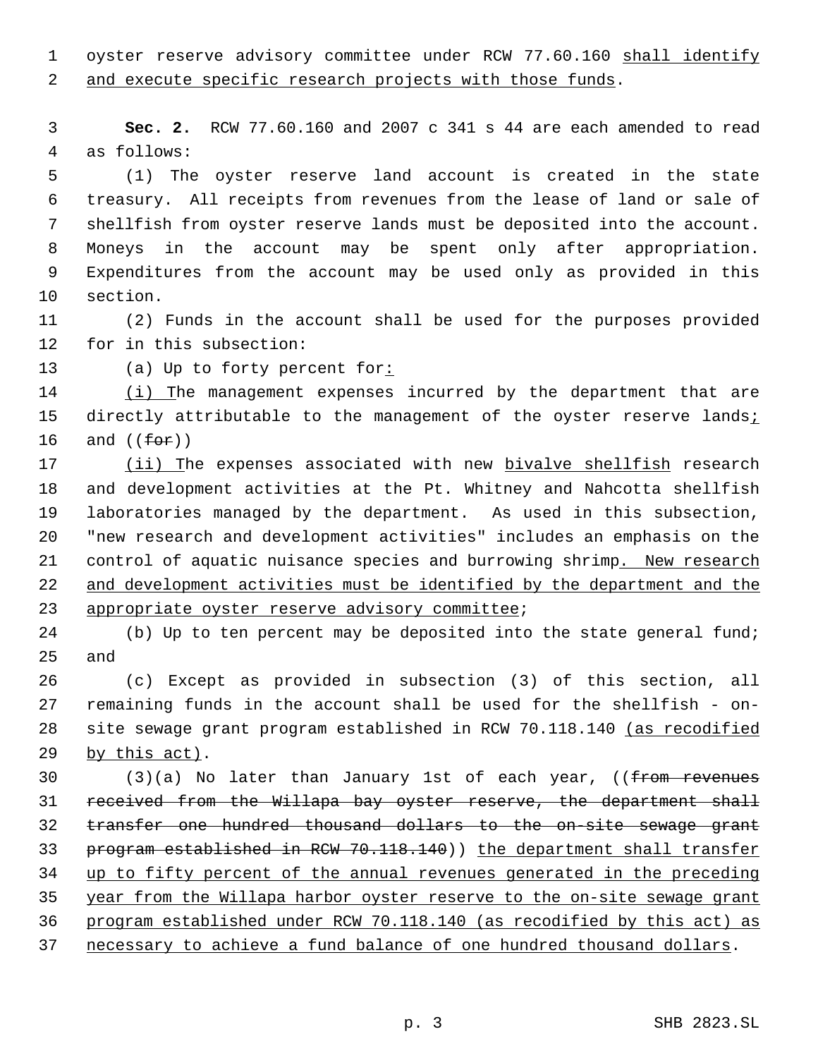1 oyster reserve advisory committee under RCW 77.60.160 shall identify 2 and execute specific research projects with those funds.

 **Sec. 2.** RCW 77.60.160 and 2007 c 341 s 44 are each amended to read as follows:

 (1) The oyster reserve land account is created in the state treasury. All receipts from revenues from the lease of land or sale of shellfish from oyster reserve lands must be deposited into the account. Moneys in the account may be spent only after appropriation. Expenditures from the account may be used only as provided in this section.

 (2) Funds in the account shall be used for the purposes provided for in this subsection:

(a) Up to forty percent for:

14 (i) The management expenses incurred by the department that are 15 directly attributable to the management of the oyster reserve lands; 16 and  $(\text{for})$ 

 (ii) The expenses associated with new bivalve shellfish research and development activities at the Pt. Whitney and Nahcotta shellfish laboratories managed by the department. As used in this subsection, "new research and development activities" includes an emphasis on the 21 control of aquatic nuisance species and burrowing shrimp. New research 22 and development activities must be identified by the department and the appropriate oyster reserve advisory committee;

24 (b) Up to ten percent may be deposited into the state general fund; and

 (c) Except as provided in subsection (3) of this section, all remaining funds in the account shall be used for the shellfish - on-28 site sewage grant program established in RCW 70.118.140 (as recodified by this act).

30 (3)(a) No later than January 1st of each year, ((<del>from revenues</del> received from the Willapa bay oyster reserve, the department shall transfer one hundred thousand dollars to the on-site sewage grant 33 program established in RCW 70.118.140)) the department shall transfer up to fifty percent of the annual revenues generated in the preceding year from the Willapa harbor oyster reserve to the on-site sewage grant program established under RCW 70.118.140 (as recodified by this act) as necessary to achieve a fund balance of one hundred thousand dollars.